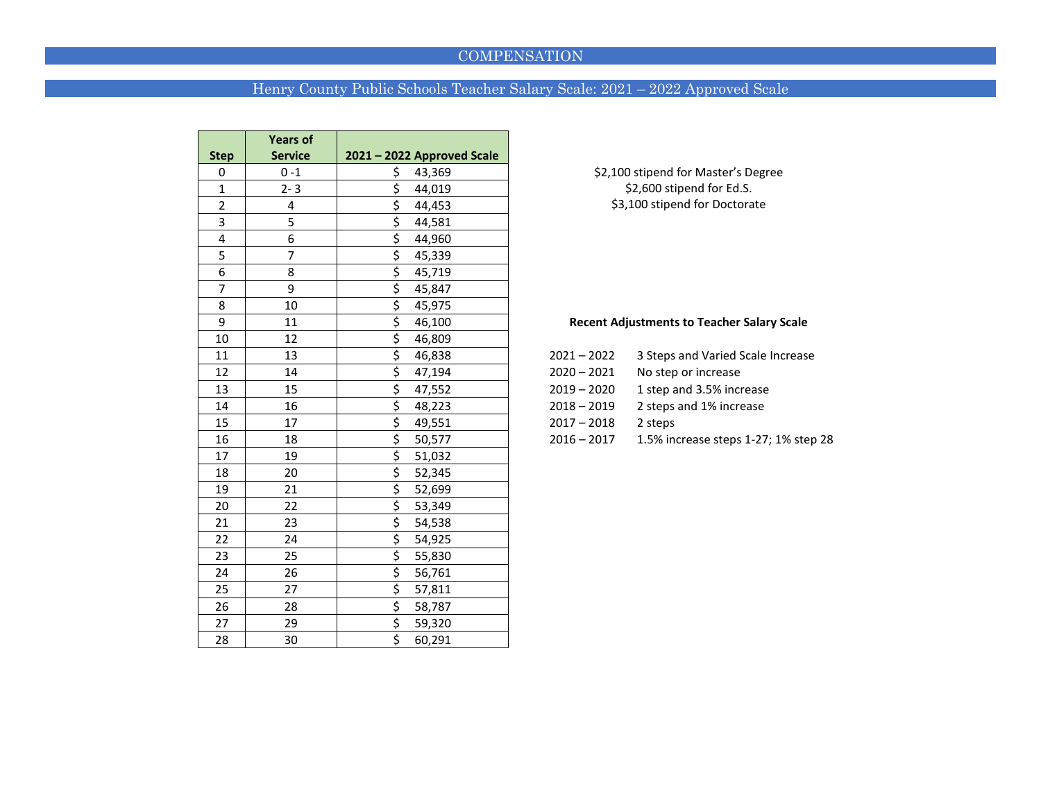### **COMPENSATION**

## Henry County Public Schools Teacher Salary Scale: 2021 – 2022 Approved Scale

|                | <b>Years of</b> |                            |               |                                                   |
|----------------|-----------------|----------------------------|---------------|---------------------------------------------------|
| <b>Step</b>    | <b>Service</b>  | 2021 - 2022 Approved Scale |               |                                                   |
| 0              | $0 - 1$         | \$<br>43,369               |               | \$2,100 stipend for Master's Degree               |
| $\mathbf{1}$   | $2 - 3$         | \$<br>44,019               |               | \$2,600 stipend for Ed.S.                         |
| $\overline{2}$ | 4               | \$<br>44,453               |               | \$3,100 stipend for Doctorate                     |
| 3              | 5               | \$<br>44,581               |               |                                                   |
| 4              | 6               | \$<br>44,960               |               |                                                   |
| 5              | 7               | \$<br>45,339               |               |                                                   |
| 6              | 8               | \$<br>45,719               |               |                                                   |
| $\overline{7}$ | 9               | \$<br>45,847               |               |                                                   |
| 8              | 10              | \$<br>45,975               |               |                                                   |
| 9              | 11              | \$<br>46,100               |               | <b>Recent Adjustments to Teacher Salary Scale</b> |
| 10             | 12              | \$<br>46,809               |               |                                                   |
| 11             | 13              | \$<br>46,838               | $2021 - 2022$ | 3 Steps and Varied Scale Increase                 |
| 12             | 14              | \$<br>47,194               | $2020 - 2021$ | No step or increase                               |
| 13             | 15              | \$<br>47,552               | $2019 - 2020$ | 1 step and 3.5% increase                          |
| 14             | 16              | \$<br>48,223               | $2018 - 2019$ | 2 steps and 1% increase                           |
| 15             | 17              | \$<br>49,551               | $2017 - 2018$ | 2 steps                                           |
| 16             | 18              | \$<br>50,577               | $2016 - 2017$ | 1.5% increase steps 1-27; 1% step 28              |
| 17             | 19              | \$<br>51,032               |               |                                                   |
| 18             | 20              | \$<br>52,345               |               |                                                   |
| 19             | 21              | \$<br>52,699               |               |                                                   |
| 20             | 22              | \$<br>53,349               |               |                                                   |
| 21             | 23              | \$<br>54,538               |               |                                                   |
| 22             | 24              | \$<br>54,925               |               |                                                   |
| 23             | 25              | \$<br>55,830               |               |                                                   |
| 24             | 26              | \$<br>56,761               |               |                                                   |
| 25             | 27              | \$<br>57,811               |               |                                                   |
| 26             | 28              | \$<br>58,787               |               |                                                   |
| 27             | 29              | \$<br>59,320               |               |                                                   |
| 28             | 30              | \$<br>60,291               |               |                                                   |

#### Recent Adjustments to Teacher Salary Scale

| 2021 – 2022   | 3 Steps and Varied Scale Increase |
|---------------|-----------------------------------|
| $2020 - 2021$ | No step or increase               |
| $2019 - 2020$ | 1 step and 3.5% increase          |
| 2018 – 2019   | 2 steps and 1% increase           |
| $2017 - 2018$ | 2 steps                           |
| 2016 – 2017   | 1.5% increase steps 1-27; 1% step |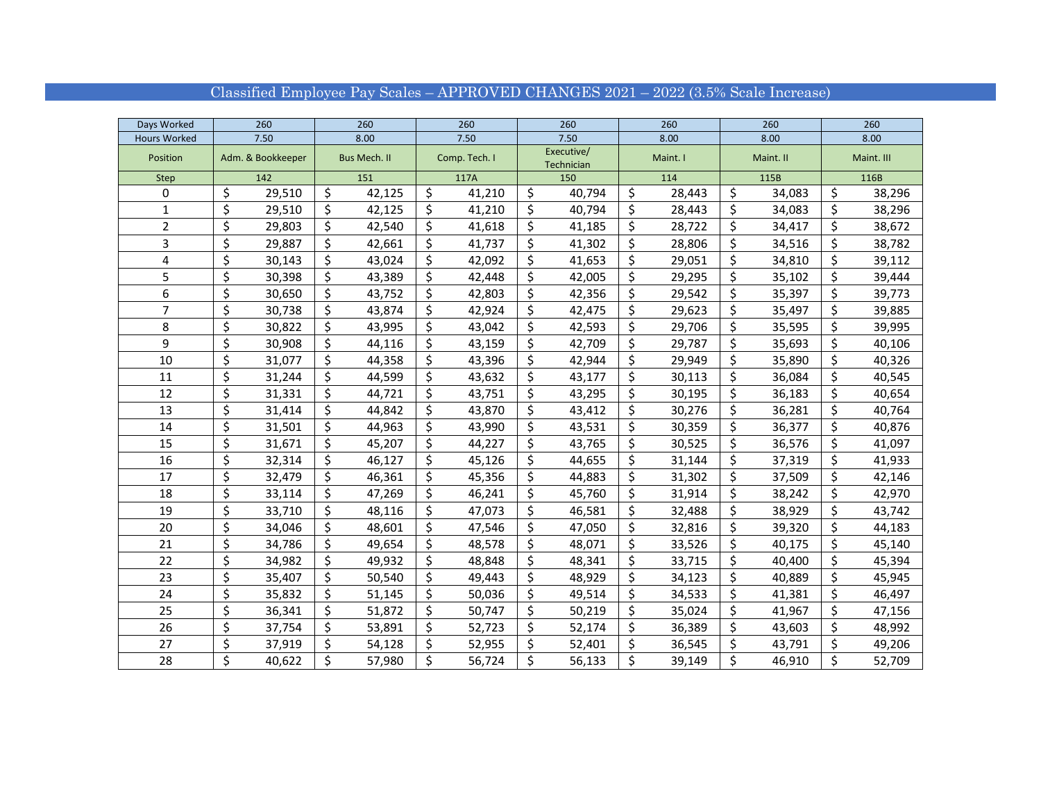| Days Worked         |                   | 260    |                     | 260    |               | 260    |                          | 260    |                                 | 260    | 260       |        | 260        |        |
|---------------------|-------------------|--------|---------------------|--------|---------------|--------|--------------------------|--------|---------------------------------|--------|-----------|--------|------------|--------|
| <b>Hours Worked</b> |                   | 7.50   |                     | 8.00   |               | 7.50   |                          | 7.50   |                                 | 8.00   | 8.00      |        | 8.00       |        |
| Position            | Adm. & Bookkeeper |        | <b>Bus Mech. II</b> |        | Comp. Tech. I |        | Executive/<br>Technician |        | Maint. I                        |        | Maint. II |        | Maint. III |        |
| <b>Step</b>         |                   | 142    |                     | 151    |               | 117A   |                          | 150    |                                 | 114    | 115B      |        | 116B       |        |
| 0                   | \$                | 29,510 | \$                  | 42,125 | \$            | 41,210 | \$                       | 40,794 | \$                              | 28,443 | \$        | 34,083 | \$         | 38,296 |
| 1                   | \$                | 29,510 | \$                  | 42,125 | \$            | 41,210 | \$                       | 40,794 | \$                              | 28,443 | \$        | 34,083 | \$         | 38,296 |
| $\overline{2}$      | \$                | 29,803 | \$                  | 42,540 | \$            | 41,618 | \$                       | 41,185 | \$                              | 28,722 | \$        | 34,417 | \$         | 38,672 |
| 3                   | \$                | 29,887 | \$                  | 42,661 | \$            | 41,737 | \$                       | 41,302 | \$                              | 28,806 | \$        | 34,516 | \$         | 38,782 |
| 4                   | \$                | 30,143 | \$                  | 43,024 | \$            | 42,092 | \$                       | 41,653 | \$                              | 29,051 | \$        | 34,810 | \$         | 39,112 |
| 5                   | \$                | 30,398 | \$                  | 43,389 | \$            | 42,448 | \$                       | 42,005 | \$                              | 29,295 | \$        | 35,102 | \$         | 39,444 |
| 6                   | \$                | 30,650 | \$                  | 43,752 | \$            | 42,803 | \$                       | 42,356 | \$                              | 29,542 | \$        | 35,397 | \$         | 39,773 |
| 7                   | \$                | 30,738 | \$                  | 43,874 | Ś             | 42,924 | \$                       | 42,475 | \$                              | 29,623 | \$        | 35,497 | \$         | 39,885 |
| 8                   | \$                | 30,822 | \$                  | 43,995 | \$            | 43,042 | \$                       | 42,593 | \$                              | 29,706 | \$        | 35,595 | \$         | 39,995 |
| 9                   | \$                | 30,908 | \$                  | 44,116 | \$            | 43,159 | \$                       | 42,709 | \$                              | 29,787 | \$        | 35,693 | \$         | 40,106 |
| $10\,$              | \$                | 31,077 | \$                  | 44,358 | \$            | 43,396 | \$                       | 42,944 | \$                              | 29,949 | \$        | 35,890 | \$         | 40,326 |
| 11                  | \$                | 31,244 | \$                  | 44,599 | \$            | 43,632 | \$                       | 43,177 | \$                              | 30,113 | \$        | 36,084 | \$         | 40,545 |
| 12                  | \$                | 31,331 | \$                  | 44,721 | \$            | 43,751 | \$                       | 43,295 | \$                              | 30,195 | \$        | 36,183 | \$         | 40,654 |
| 13                  | \$                | 31,414 | \$                  | 44,842 | \$            | 43,870 | \$                       | 43,412 | \$                              | 30,276 | \$        | 36,281 | \$         | 40,764 |
| 14                  | \$                | 31,501 | \$                  | 44,963 | \$            | 43,990 | \$                       | 43,531 | \$                              | 30,359 | \$        | 36,377 | \$         | 40,876 |
| 15                  | \$                | 31,671 | \$                  | 45,207 | \$            | 44,227 | \$                       | 43,765 | \$                              | 30,525 | \$        | 36,576 | \$         | 41,097 |
| 16                  | \$                | 32,314 | \$                  | 46,127 | \$            | 45,126 | \$                       | 44,655 | \$                              | 31,144 | \$        | 37,319 | \$         | 41,933 |
| 17                  | \$                | 32,479 | \$                  | 46,361 | \$            | 45,356 | \$                       | 44,883 | $\overline{\boldsymbol{\zeta}}$ | 31,302 | \$        | 37,509 | \$         | 42,146 |
| 18                  | \$                | 33,114 | \$                  | 47,269 | \$            | 46,241 | \$                       | 45,760 | \$                              | 31,914 | \$        | 38,242 | \$         | 42,970 |
| 19                  | \$                | 33,710 | \$                  | 48,116 | \$            | 47,073 | \$                       | 46,581 | \$                              | 32,488 | \$        | 38,929 | \$         | 43,742 |
| 20                  | \$                | 34,046 | \$                  | 48,601 | \$            | 47,546 | \$                       | 47,050 | \$                              | 32,816 | \$        | 39,320 | \$         | 44,183 |
| 21                  | \$                | 34,786 | \$                  | 49,654 | \$            | 48,578 | \$                       | 48,071 | \$                              | 33,526 | \$        | 40,175 | \$         | 45,140 |
| 22                  | \$                | 34,982 | \$                  | 49,932 | \$            | 48,848 | \$                       | 48,341 | \$                              | 33,715 | \$        | 40,400 | \$         | 45,394 |
| 23                  | \$                | 35,407 | \$                  | 50,540 | \$            | 49,443 | \$                       | 48,929 | \$                              | 34,123 | \$        | 40,889 | \$         | 45,945 |
| 24                  | \$                | 35,832 | \$                  | 51,145 | \$            | 50,036 | \$                       | 49,514 | \$                              | 34,533 | \$        | 41,381 | \$         | 46,497 |
| 25                  | \$                | 36,341 | \$                  | 51,872 | \$            | 50,747 | \$                       | 50,219 | \$                              | 35,024 | \$        | 41,967 | \$         | 47,156 |
| 26                  | \$                | 37,754 | \$                  | 53,891 | \$            | 52,723 | \$                       | 52,174 | \$                              | 36,389 | \$        | 43,603 | \$         | 48,992 |
| 27                  | \$                | 37,919 | \$                  | 54,128 | \$            | 52,955 | \$                       | 52,401 | \$                              | 36,545 | \$        | 43,791 | \$         | 49,206 |
| 28                  | \$                | 40,622 | \$                  | 57,980 | \$            | 56,724 | \$                       | 56,133 | \$                              | 39,149 | \$        | 46,910 | \$         | 52,709 |

## Classified Employee Pay Scales – APPROVED CHANGES 2021 – 2022 (3.5% Scale Increase)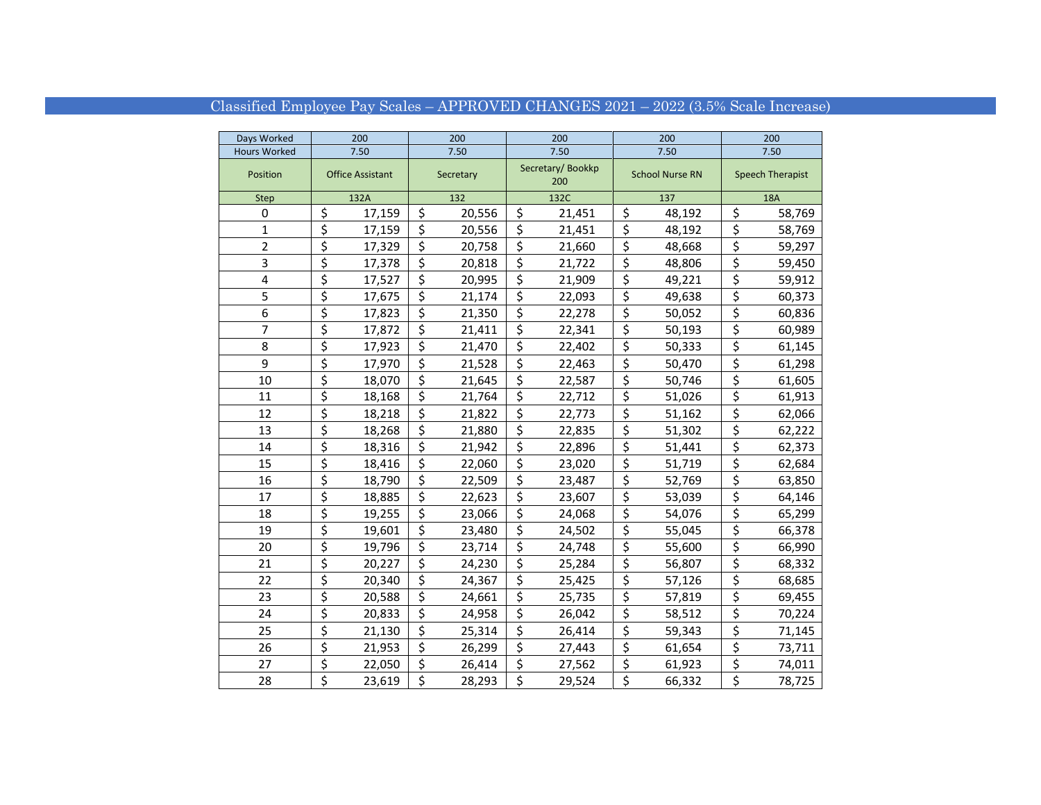## Classified Employee Pay Scales – APPROVED CHANGES 2021 – 2022 (3.5% Scale Increase)

| Days Worked         | 200                             |        |                         | 200    |                         | 200                     |                                 | 200                    | 200                     |        |  |
|---------------------|---------------------------------|--------|-------------------------|--------|-------------------------|-------------------------|---------------------------------|------------------------|-------------------------|--------|--|
| <b>Hours Worked</b> | 7.50                            |        | 7.50                    |        | 7.50                    |                         |                                 | 7.50                   | 7.50                    |        |  |
| Position            | <b>Office Assistant</b>         |        | Secretary               |        |                         | Secretary/Bookkp<br>200 |                                 | <b>School Nurse RN</b> | <b>Speech Therapist</b> |        |  |
| Step                | 132A                            |        | 132                     |        |                         | 132C                    |                                 | 137                    | <b>18A</b>              |        |  |
| 0                   | \$                              | 17,159 | \$                      | 20,556 | \$                      | 21,451                  | \$                              | 48,192                 | \$                      | 58,769 |  |
| 1                   | \$                              | 17,159 | \$                      | 20,556 | \$                      | 21,451                  | \$                              | 48,192                 | \$                      | 58,769 |  |
| $\overline{2}$      | \$                              | 17,329 | \$                      | 20,758 | \$                      | 21,660                  | \$                              | 48,668                 | \$                      | 59,297 |  |
| 3                   | \$                              | 17,378 | \$                      | 20,818 | \$                      | 21,722                  | \$                              | 48,806                 | \$                      | 59,450 |  |
| 4                   | \$                              | 17,527 | \$                      | 20,995 | \$                      | 21,909                  | $\overline{\xi}$                | 49,221                 | \$                      | 59,912 |  |
| 5                   | \$                              | 17,675 | \$                      | 21,174 | \$                      | 22,093                  | \$                              | 49,638                 | \$                      | 60,373 |  |
| 6                   | \$                              | 17,823 | \$                      | 21,350 | \$                      | 22,278                  | \$                              | 50,052                 | \$                      | 60,836 |  |
| $\overline{7}$      | \$                              | 17,872 | \$                      | 21,411 | \$                      | 22,341                  | $\overline{\boldsymbol{\zeta}}$ | 50,193                 | \$                      | 60,989 |  |
| 8                   | \$                              | 17,923 | \$                      | 21,470 | \$                      | 22,402                  | \$                              | 50,333                 | \$                      | 61,145 |  |
| 9                   | \$                              | 17,970 | \$                      | 21,528 | \$                      | 22,463                  | \$                              | 50,470                 | \$                      | 61,298 |  |
| 10                  | \$                              | 18,070 | \$                      | 21,645 | \$                      | 22,587                  | \$                              | 50,746                 | \$                      | 61,605 |  |
| 11                  | \$                              | 18,168 | \$                      | 21,764 | \$                      | 22,712                  | \$                              | 51,026                 | \$                      | 61,913 |  |
| 12                  | \$                              | 18,218 | \$                      | 21,822 | \$                      | 22,773                  | \$                              | 51,162                 | \$                      | 62,066 |  |
| 13                  | \$                              | 18,268 | \$                      | 21,880 | \$                      | 22,835                  | \$                              | 51,302                 | \$                      | 62,222 |  |
| 14                  | \$                              | 18,316 | \$                      | 21,942 | \$                      | 22,896                  | \$                              | 51,441                 | \$                      | 62,373 |  |
| 15                  | \$                              | 18,416 | \$                      | 22,060 | \$                      | 23,020                  | \$                              | 51,719                 | \$                      | 62,684 |  |
| 16                  | \$                              | 18,790 | \$                      | 22,509 | \$                      | 23,487                  | \$                              | 52,769                 | \$                      | 63,850 |  |
| 17                  | \$                              | 18,885 | $\overline{\xi}$        | 22,623 | $\overline{\xi}$        | 23,607                  | $\overline{\boldsymbol{\zeta}}$ | 53,039                 | \$                      | 64,146 |  |
| 18                  | \$                              | 19,255 | \$                      | 23,066 | \$                      | 24,068                  | \$                              | 54,076                 | \$                      | 65,299 |  |
| 19                  | \$                              | 19,601 | \$                      | 23,480 | \$                      | 24,502                  | \$                              | 55,045                 | \$                      | 66,378 |  |
| 20                  | \$                              | 19,796 | \$                      | 23,714 | \$                      | 24,748                  | \$                              | 55,600                 | \$                      | 66,990 |  |
| 21                  | \$                              | 20,227 | \$                      | 24,230 | \$                      | 25,284                  | \$                              | 56,807                 | \$                      | 68,332 |  |
| 22                  | \$                              | 20,340 | \$                      | 24,367 | \$                      | 25,425                  | \$                              | 57,126                 | \$                      | 68,685 |  |
| 23                  | \$                              | 20,588 | $\overline{\xi}$        | 24,661 | $\overline{\xi}$        | 25,735                  | \$                              | 57,819                 | \$                      | 69,455 |  |
| 24                  | \$                              | 20,833 | \$                      | 24,958 | \$                      | 26,042                  | \$                              | 58,512                 | \$                      | 70,224 |  |
| 25                  | \$                              | 21,130 | \$                      | 25,314 | $\overline{\mathsf{S}}$ | 26,414                  | $\overline{\boldsymbol{\zeta}}$ | 59,343                 | \$                      | 71,145 |  |
| 26                  | \$                              | 21,953 | $\overline{\mathsf{S}}$ | 26,299 | \$                      | 27,443                  | \$                              | 61,654                 | \$                      | 73,711 |  |
| 27                  | \$                              | 22,050 | \$                      | 26,414 | \$                      | 27,562                  | $\overline{\mathcal{L}}$        | 61,923                 | \$                      | 74,011 |  |
| 28                  | $\overline{\boldsymbol{\zeta}}$ | 23,619 | $\overline{\mathsf{s}}$ | 28,293 | $\overline{\mathsf{s}}$ | 29,524                  | $\overline{\xi}$                | 66,332                 | \$                      | 78,725 |  |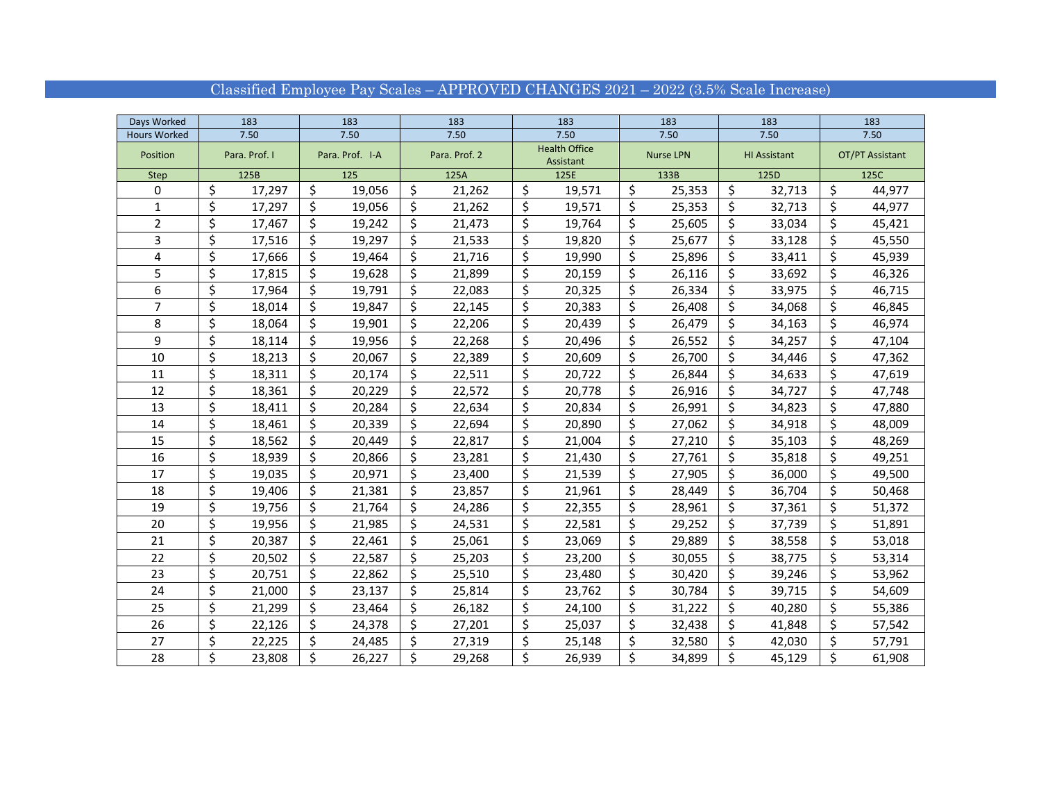## Classified Employee Pay Scales – APPROVED CHANGES 2021 – 2022 (3.5% Scale Increase)

| Days Worked         | 183           |                 | 183    |               | 183    |                                   | 183    |                  | 183    | 183                 |        | 183             |        |
|---------------------|---------------|-----------------|--------|---------------|--------|-----------------------------------|--------|------------------|--------|---------------------|--------|-----------------|--------|
| <b>Hours Worked</b> | 7.50          |                 | 7.50   |               | 7.50   |                                   | 7.50   |                  | 7.50   | 7.50                |        | 7.50            |        |
| Position            | Para. Prof. I | Para. Prof. I-A |        | Para. Prof. 2 |        | <b>Health Office</b><br>Assistant |        | <b>Nurse LPN</b> |        | <b>HI Assistant</b> |        | OT/PT Assistant |        |
| Step                | 125B          |                 | 125    |               | 125A   |                                   | 125E   |                  | 133B   | 125D                |        | 125C            |        |
| 0                   | \$<br>17,297  | \$              | 19,056 | \$            | 21,262 | \$                                | 19,571 | \$               | 25,353 | \$                  | 32,713 | \$              | 44,977 |
| $\mathbf{1}$        | \$<br>17,297  | \$              | 19,056 | \$            | 21,262 | \$                                | 19,571 | \$               | 25,353 | \$                  | 32,713 | \$              | 44,977 |
| $\overline{2}$      | \$<br>17,467  | \$              | 19,242 | \$            | 21,473 | \$                                | 19,764 | \$               | 25,605 | \$                  | 33,034 | \$              | 45,421 |
| 3                   | \$<br>17,516  | \$              | 19,297 | \$            | 21,533 | \$                                | 19,820 | \$               | 25,677 | \$                  | 33,128 | \$              | 45,550 |
| 4                   | \$<br>17,666  | \$              | 19,464 | \$            | 21,716 | \$                                | 19,990 | \$               | 25,896 | \$                  | 33,411 | \$              | 45,939 |
| 5                   | \$<br>17,815  | \$              | 19,628 | \$            | 21,899 | \$                                | 20,159 | \$               | 26,116 | \$                  | 33,692 | \$              | 46,326 |
| 6                   | \$<br>17,964  | \$              | 19,791 | \$            | 22,083 | \$                                | 20,325 | \$               | 26,334 | \$                  | 33,975 | \$              | 46,715 |
| 7                   | \$<br>18,014  | \$              | 19,847 | \$            | 22,145 | \$                                | 20,383 | \$               | 26,408 | \$                  | 34,068 | \$              | 46,845 |
| 8                   | \$<br>18,064  | \$              | 19,901 | \$            | 22,206 | \$                                | 20,439 | \$               | 26,479 | \$                  | 34,163 | \$              | 46,974 |
| 9                   | \$<br>18,114  | \$              | 19,956 | \$            | 22,268 | \$                                | 20,496 | \$               | 26,552 | Ś.                  | 34,257 | \$              | 47,104 |
| 10                  | \$<br>18,213  | \$              | 20,067 | \$            | 22,389 | \$                                | 20,609 | \$               | 26,700 | \$                  | 34,446 | \$              | 47,362 |
| 11                  | \$<br>18,311  | \$              | 20,174 | \$            | 22,511 | \$                                | 20,722 | \$               | 26,844 | Ś                   | 34,633 | \$              | 47,619 |
| 12                  | \$<br>18,361  | \$              | 20,229 | \$            | 22,572 | \$                                | 20,778 | \$               | 26,916 | \$                  | 34,727 | \$              | 47,748 |
| 13                  | \$<br>18,411  | \$              | 20,284 | \$            | 22,634 | \$                                | 20,834 | \$               | 26,991 | \$                  | 34,823 | \$              | 47,880 |
| 14                  | \$<br>18,461  | \$              | 20,339 | \$            | 22,694 | \$                                | 20,890 | \$               | 27,062 | Ś.                  | 34,918 | \$              | 48,009 |
| 15                  | \$<br>18,562  | \$              | 20,449 | \$            | 22,817 | \$                                | 21,004 | \$               | 27,210 | Ś                   | 35,103 | \$              | 48,269 |
| 16                  | \$<br>18,939  | \$              | 20,866 | \$            | 23,281 | \$                                | 21,430 | \$               | 27,761 | \$                  | 35,818 | \$              | 49,251 |
| 17                  | \$<br>19,035  | \$              | 20,971 | \$            | 23,400 | \$                                | 21,539 | \$               | 27,905 | \$                  | 36,000 | \$              | 49,500 |
| 18                  | \$<br>19,406  | \$              | 21,381 | \$            | 23,857 | \$                                | 21,961 | \$               | 28,449 | Ś                   | 36,704 | \$              | 50,468 |
| 19                  | \$<br>19,756  | \$              | 21,764 | \$            | 24,286 | \$                                | 22,355 | \$               | 28,961 | Ś                   | 37,361 | \$              | 51,372 |
| 20                  | \$<br>19,956  | \$              | 21,985 | \$            | 24,531 | \$                                | 22,581 | \$               | 29,252 | \$                  | 37,739 | \$              | 51,891 |
| 21                  | \$<br>20,387  | \$              | 22,461 | \$            | 25,061 | \$                                | 23,069 | \$               | 29,889 | \$                  | 38,558 | \$              | 53,018 |
| 22                  | \$<br>20,502  | \$              | 22,587 | \$            | 25,203 | \$                                | 23,200 | \$               | 30,055 | Ś                   | 38,775 | \$              | 53,314 |
| 23                  | \$<br>20,751  | \$              | 22,862 | \$            | 25,510 | \$                                | 23,480 | \$               | 30,420 | Ś                   | 39,246 | \$              | 53,962 |
| 24                  | \$<br>21,000  | \$              | 23,137 | \$            | 25,814 | \$                                | 23,762 | \$               | 30,784 | \$                  | 39,715 | \$              | 54,609 |
| 25                  | \$<br>21,299  | \$              | 23,464 | \$            | 26,182 | \$                                | 24,100 | \$               | 31,222 | \$                  | 40,280 | \$              | 55,386 |
| 26                  | \$<br>22,126  | \$              | 24,378 | \$            | 27,201 | \$                                | 25,037 | \$               | 32,438 | \$                  | 41,848 | \$              | 57,542 |
| 27                  | \$<br>22,225  | \$              | 24,485 | \$            | 27,319 | \$                                | 25,148 | \$               | 32,580 | Ś                   | 42,030 | \$              | 57,791 |
| 28                  | \$<br>23,808  | \$              | 26,227 | \$            | 29,268 | \$                                | 26,939 | \$               | 34,899 | \$                  | 45,129 | \$              | 61,908 |